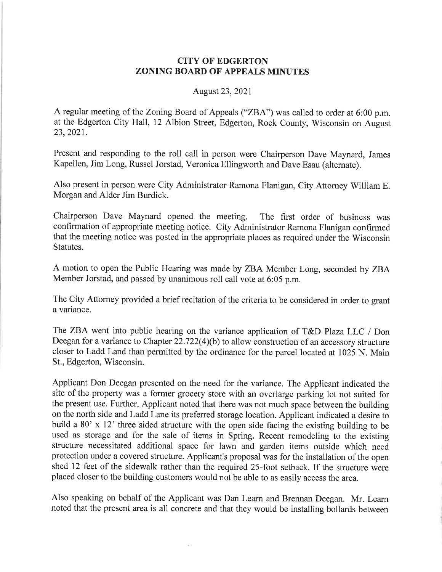## CITY OF EDGERTON ZONING BOARD OF APPEALS MINUTES

August 23,2021

A regular meeting of the Zoning Board of Appeals ("ZBA") was called to order at 6:00 p.m. at the Edgerton City Hall, 12 Albion Street, Edgerton, Rock County, Wisconsin on August 23,2021.

Present and responding to the roll call in person were Chairperson Dave Maynard, James Kapellen, Jim Long, Russel Jorstad, Veronica Ellingworth and Dave Esau (alternate).

Also present in person were City Administrator Ramona Flanigan, City Attorney William E. Morgan and Alder Jim Burdick.

Chairperson Dave Maynard opened the meeting. The first order of business was confirmation of appropriate meeting notice. City Administrator Ramona Flanigan confirmed that the meeting notice was posted in the appropriate places as required under the Wisconsin Statutes.

A motion to open the Public Hearing was made by ZBA Member Long, seconded by ZBA Member Jorstad, and passed by unanimous roll call vote at 6:05 p.m.

The City Attorney provided a brief recitation of the criteria to be considered in order to grant a variance.

The ZBA went into public hearing on the variance application of T&D Plaza LLC / Don Deegan for a variance to Chapter  $22.722(4)(b)$  to allow construction of an accessory structure closer to Ladd Land than permitted by the ordinance for the parcel located at 1025 N. Main St., Edgerton, Wisconsin.

Applicant Don Deegan presented on the need for the variance. The Applicant indicated the site of the property was a former grocery store with an overlarge parking lot not suited for the present use. Further, Applicant noted that there was not much space between the building on the north side and Ladd Lane its preferred storage location. Applicant indicated a desire to build a 80' x 12' three sided structure with the open side facing the existing building to be used as storage and for the sale of items in Spring. Recent remodeling to the existing structure necessitated additional space for lawn and garden items outside which need protection under a covered structure. Applicant's proposal was for the installation of the open shed 12 feet of the sidewalk rather than the required 25-foot setback. If the structure were placed closer to the building customers would not be able to as easily access the area.

Also speaking on behalf of the Applicant was Dan Learn and Brennan Deegan. Mr. Leam noted that the present area is all concrete and that they would be installing bollards between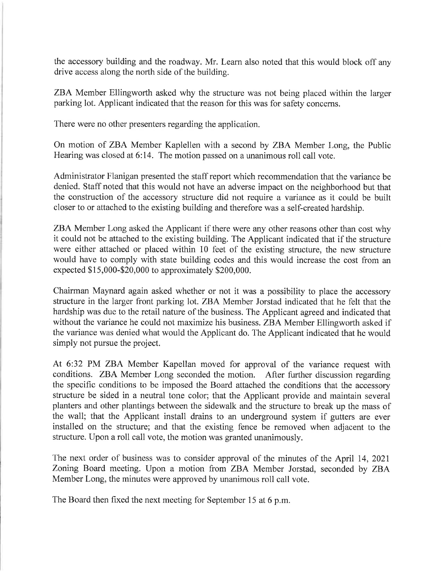the accessory building and the roadway. Mr. Learn also noted that this would block off any drive access along the north side of the building.

ZBA Member Ellingworth asked why the structure was not being placed within the larger parking lot. Applicant indicated that the reason for this was for safety concerns.

There were no other presenters regarding the application.

On motion of ZBA Member Kaplellen with a second by ZBA Member Long, the Public Hearing was closed at 6:14. The motion passed on a unanimous roll call vote.

Administrator Flanigan presented the staff report which recommendation that the variance be denied. Staff noted that this would not have an adverse impact on the neighborhood but that the construction of the accessory structure did not require a variance as it could be built closer to or attached to the existing building and therefore was a self-created hardship.

ZBA Member Long asked the Applicant if there were any other reasons other than cost why it could not be attached to the existing building. The Applicant indicated that if the structure were either attached or placed within 10 feet of the existing structure, the new structure would have to comply with state building codes and this would increase the cost from an expected \$15,000-\$20,000 to approximately \$200,000.

Chairman Maynard again asked whether or not it was a possibility to place the accessory structure in the larger front parking lot. ZBA Member Jorstad indicated that he felt that the hardship was due to the retail nature of the business. The Applicant agreed and indicated that without the variance he could not maximize his business. ZBA Member Ellingworth asked if the variance was denied what would the Applicant do. The Applicant indicated that he would simply not pursue the project.

At 6:32 PM ZBA Member Kapellan moved for approval of the variance request with conditions. ZBA Member Long seconded the motion. After further discussion regarding the specific conditions to be imposed the Board attached the conditions that the accessory structure be sided in a neutral tone color; that the Applicant provide and maintain several planters and other plantings between the sidewalk and the structure to break up the mass of the wall; that the Applicant install drains to an underground system if gutters are ever installed on the structure; and that the existing fence be removed when adjacent to the structure. Upon a roll call vote, the motion was granted unanimously.

The next order of business was to consider approval of the minutes of the April 14, 202I Zoning Board meeting. Upon a motion from ZBA Member Jorstad, seconded by ZBA Member Long, the minutes were approved by unanimous roll call vote.

The Board then fixed the next meeting for September 15 at 6 p.m.